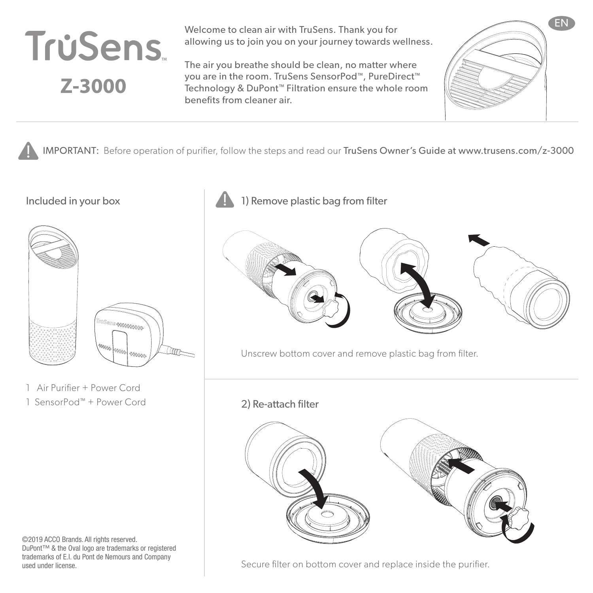

Welcome to clean air with TruSens. Thank you for allowing us to join you on your journey towards wellness.

The air you breathe should be clean, no matter where you are in the room. TruSens SensorPod™, PureDirect™ Technology & DuPont™ Filtration ensure the whole room benefits from cleaner air.



IMPORTANT: Before operation of purifier, follow the steps and read our TruSens Owner's Guide at www.trusens.com/z-3000



1 Air Purifier + Power Cord 1 SensorPod™ + Power Cord

©2019 ACCO Brands. All rights reserved. DuPont™ & the Oval logo are trademarks or registered trademarks of E.I. du Pont de Nemours and Company used under license.





Unscrew bottom cover and remove plastic bag from filter.

2) Re-attach filter



Secure filter on bottom cover and replace inside the purifier.